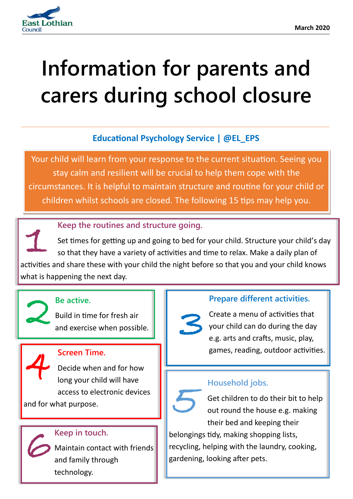

## **Information for parents and carers during school closure**

#### **Educational Psychology Service | @EL\_EPS**

Your child will learn from your response to the current situation. Seeing you stay calm and resilient will be crucial to help them cope with the circumstances. It is helpful to maintain structure and routine for your child or children whilst schools are closed. The following 15 tips may help you.

#### **Keep the routines and structure going.**

Set times for getting up and going to bed for your child. Structure your child's day so that they have a variety of activities and time to relax. Make a daily plan of activities and share these with your child the night before so that you and your child knows what is happening the next day. 1



#### **Be active.**

Be active.<br>Build in time for fresh air<br>and exercise when possible.



#### **Screen Time.**

Decide when and for how long your child will have access to electronic devices and for what purpose.

#### **Keep in touch.**

Maintain contact with friends and family through technology.  $\overline{6}$  Mis

#### **Prepare different activities.**

Create a menu of activities that your child can do during the day e.g. arts and crafts, music, play, games, reading, outdoor activities.  $3<sub>e</sub>$ 

#### **Household jobs.**



Get children to do their bit to help out round the house e.g. making their bed and keeping their

belongings tidy, making shopping lists, recycling, helping with the laundry, cooking, gardening, looking after pets.